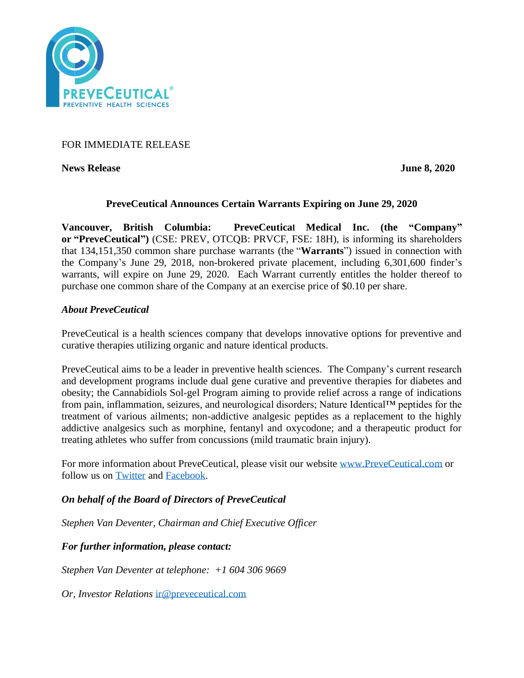

## FOR IMMEDIATE RELEASE

**News Release** June 8, 2020

### **PreveCeutical Announces Certain Warrants Expiring on June 29, 2020**

**Vancouver, British Columbia: PreveCeutical Medical Inc. (the "Company" or "PreveCeutical")** (CSE: PREV, OTCQB: PRVCF, FSE: 18H), is informing its shareholders that 134,151,350 common share purchase warrants (the "**Warrants**") issued in connection with the Company's June 29, 2018, non-brokered private placement, including 6,301,600 finder's warrants, will expire on June 29, 2020. Each Warrant currently entitles the holder thereof to purchase one common share of the Company at an exercise price of \$0.10 per share.

### *About PreveCeutical*

PreveCeutical is a health sciences company that develops innovative options for preventive and curative therapies utilizing organic and nature identical products.

PreveCeutical aims to be a leader in preventive health sciences. The Company's current research and development programs include dual gene curative and preventive therapies for diabetes and obesity; the Cannabidiols Sol-gel Program aiming to provide relief across a range of indications from pain, inflammation, seizures, and neurological disorders; Nature Identical™ peptides for the treatment of various ailments; non-addictive analgesic peptides as a replacement to the highly addictive analgesics such as morphine, fentanyl and oxycodone; and a therapeutic product for treating athletes who suffer from concussions (mild traumatic brain injury).

For more information about PreveCeutical, please visit our website [www.PreveCeutical.com](http://www.preveceutical.com/) or follow us on [Twitter](http://twitter.com/PreveCeuticals) and [Facebook.](http://www.facebook.com/PreveCeutical)

# *On behalf of the Board of Directors of PreveCeutical*

*Stephen Van Deventer, Chairman and Chief Executive Officer*

*For further information, please contact:*

*Stephen Van Deventer at telephone: +1 604 306 9669*

*Or, Investor Relations* [ir@preveceutical.com](mailto:ir@preveceutical.com)